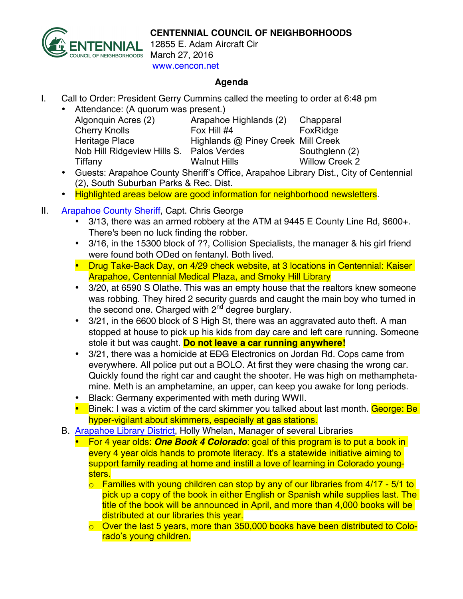**CENTENNIAL COUNCIL OF NEIGHBORHOODS**



12855 E. Adam Aircraft Cir March 27, 2016 www.cencon.net

### **Agenda**

I. Call to Order: President Gerry Cummins called the meeting to order at 6:48 pm

| • Attendance: (A quorum was present.)    |                                    |                       |
|------------------------------------------|------------------------------------|-----------------------|
| Algonquin Acres (2)                      | Arapahoe Highlands (2)             | Chapparal             |
| <b>Cherry Knolls</b>                     | Fox Hill #4                        | FoxRidge              |
| <b>Heritage Place</b>                    | Highlands @ Piney Creek Mill Creek |                       |
| Nob Hill Ridgeview Hills S. Palos Verdes |                                    | Southglenn (2)        |
| Tiffany                                  | <b>Walnut Hills</b>                | <b>Willow Creek 2</b> |
|                                          |                                    |                       |

- Guests: Arapahoe County Sheriff's Office, Arapahoe Library Dist., City of Centennial (2), South Suburban Parks & Rec. Dist.
- Highlighted areas below are good information for neighborhood newsletters.
- II. [Arapahoe County Sheriff,](http://www.arapahoesheriff.org) Capt. Chris George
	- 3/13, there was an armed robbery at the ATM at 9445 E County Line Rd, \$600+. There's been no luck finding the robber.
	- 3/16, in the 15300 block of ??, Collision Specialists, the manager & his girl friend were found both ODed on fentanyl. Both lived.
	- Drug Take-Back Day, on 4/29 check website, at 3 locations in Centennial: Kaiser Arapahoe, Centennial Medical Plaza, and Smoky Hill Library
	- 3/20, at 6590 S Olathe. This was an empty house that the realtors knew someone was robbing. They hired 2 security guards and caught the main boy who turned in the second one. Charged with 2<sup>nd</sup> degree burglary.
	- 3/21, in the 6600 block of S High St, there was an aggravated auto theft. A man stopped at house to pick up his kids from day care and left care running. Someone stole it but was caught. **Do not leave a car running anywhere!**
	- 3/21, there was a homicide at EDG Electronics on Jordan Rd. Cops came from everywhere. All police put out a BOLO. At first they were chasing the wrong car. Quickly found the right car and caught the shooter. He was high on methamphetamine. Meth is an amphetamine, an upper, can keep you awake for long periods.
	- Black: Germany experimented with meth during WWII.
	- Binek: I was a victim of the card skimmer you talked about last month. George: Be hyper-vigilant about skimmers, especially at gas stations.
	- B. **Arapahoe Library District**, Holly Whelan, Manager of several Libraries
		- For 4 year olds: *One Book 4 Colorado*: goal of this program is to put a book in every 4 year olds hands to promote literacy. It's a statewide initiative aiming to support family reading at home and instill a love of learning in Colorado youngsters.
			- $\circ$  Families with young children can stop by any of our libraries from 4/17 5/1 to pick up a copy of the book in either English or Spanish while supplies last. The title of the book will be announced in April, and more than 4,000 books will be distributed at our libraries this year.
			- o Over the last 5 years, more than 350,000 books have been distributed to Colorado's young children.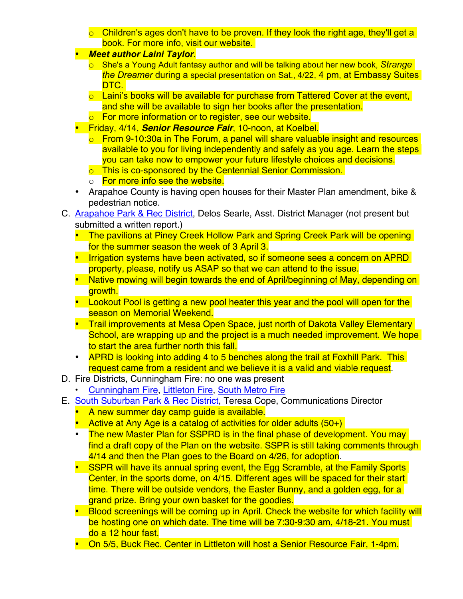- $\circ$  Children's ages don't have to be proven. If they look the right age, they'll get a book. For more info, visit our website.
- *Meet author Laini Taylor*.
	- o She's a Young Adult fantasy author and will be talking about her new book, *Strange the Dreamer* during a special presentation on Sat., 4/22, 4 pm, at Embassy Suites DTC.
	- $\circ$  Laini's books will be available for purchase from Tattered Cover at the event, and she will be available to sign her books after the presentation.
	- o For more information or to register, see our website.
- Friday, 4/14, *Senior Resource Fair*, 10-noon, at Koelbel.
	- $\circ$  From 9-10:30a in The Forum, a panel will share valuable insight and resources available to you for living independently and safely as you age. Learn the steps you can take now to empower your future lifestyle choices and decisions.
	- o This is co-sponsored by the Centennial Senior Commission.
	- o For more info see the website.
- Arapahoe County is having open houses for their Master Plan amendment, bike & pedestrian notice.
- C. [Arapahoe Park & Rec District,](http://www.aprd.org) Delos Searle, Asst. District Manager (not present but submitted a written report.)
	- The pavilions at Piney Creek Hollow Park and Spring Creek Park will be opening for the summer season the week of 3 April 3.
	- Irrigation systems have been activated, so if someone sees a concern on APRD property, please, notify us ASAP so that we can attend to the issue.
	- Native mowing will begin towards the end of April/beginning of May, depending on growth.
	- Lookout Pool is getting a new pool heater this year and the pool will open for the season on Memorial Weekend.
	- Trail improvements at Mesa Open Space, just north of Dakota Valley Elementary School, are wrapping up and the project is a much needed improvement. We hope to start the area further north this fall.
	- APRD is looking into adding 4 to 5 benches along the trail at Foxhill Park. This request came from a resident and we believe it is a valid and viable request.
- D. Fire Districts, Cunningham Fire: no one was present
	- [Cunningham Fire](http://www.cfpd.org), [Littleton Fire,](http://www.littletongov.org/fire) [South Metro Fire](http://www.southmetro.org)
- E. [South Suburban Park & Rec District,](http://www.SSPR.org) Teresa Cope, Communications Director
	- A new summer day camp guide is available.
	- Active at Any Age is a catalog of activities for older adults (50+)
	- The new Master Plan for SSPRD is in the final phase of development. You may find a draft copy of the Plan on the website. SSPR is still taking comments through 4/14 and then the Plan goes to the Board on 4/26, for adoption.
	- SSPR will have its annual spring event, the Egg Scramble, at the Family Sports Center, in the sports dome, on 4/15. Different ages will be spaced for their start time. There will be outside vendors, the Easter Bunny, and a golden egg, for a grand prize. Bring your own basket for the goodies.
	- Blood screenings will be coming up in April. Check the website for which facility will be hosting one on which date. The time will be 7:30-9:30 am, 4/18-21. You must do a 12 hour fast.
	- On 5/5, Buck Rec. Center in Littleton will host a Senior Resource Fair, 1-4pm.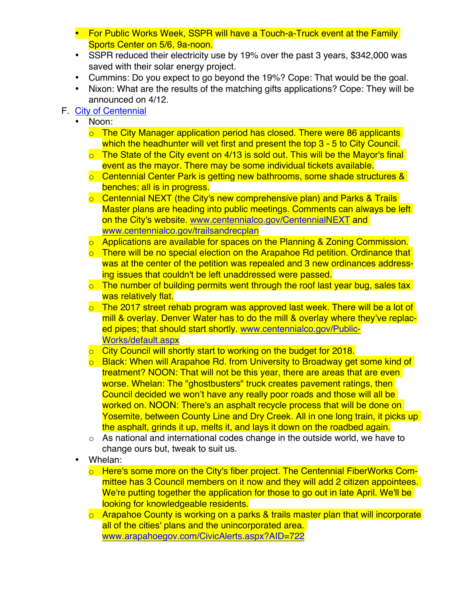- For Public Works Week, SSPR will have a Touch-a-Truck event at the Family Sports Center on 5/6, 9a-noon.
- SSPR reduced their electricity use by 19% over the past 3 years, \$342,000 was saved with their solar energy project.
- Cummins: Do you expect to go beyond the 19%? Cope: That would be the goal.
- Nixon: What are the results of the matching gifts applications? Cope: They will be announced on 4/12.
- F. [City of Centennial](http://www.centennialco.gov)
	- Noon:
		- o The City Manager application period has closed. There were 86 applicants which the headhunter will vet first and present the top 3 - 5 to City Council.
		- $\circ$  The State of the City event on 4/13 is sold out. This will be the Mayor's final event as the mayor. There may be some individual tickets available.
		- o Centennial Center Park is getting new bathrooms, some shade structures & benches; all is in progress.
		- o Centennial NEXT (the City's new comprehensive plan) and Parks & Trails Master plans are heading into public meetings. Comments can always be left on the City's website. www.centennialco.gov/CentennialNEXT and www.centennialco.gov/trailsandrecplan
		- o Applications are available for spaces on the Planning & Zoning Commission.
		- o There will be no special election on the Arapahoe Rd petition. Ordinance that was at the center of the petition was repealed and 3 new ordinances addressing issues that couldn't be left unaddressed were passed.
		- $\circ$  The number of building permits went through the roof last year bug, sales tax was relatively flat.
		- $\circ$  The 2017 street rehab program was approved last week. There will be a lot of mill & overlay. Denver Water has to do the mill & overlay where they've replaced pipes; that should start shortly. www.centennialco.gov/Public-Works/default.aspx
		- $\circ$  City Council will shortly start to working on the budget for 2018.
		- o Black: When will Arapahoe Rd. from University to Broadway get some kind of treatment? NOON: That will not be this year, there are areas that are even worse. Whelan: The "ghostbusters" truck creates pavement ratings, then Council decided we won't have any really poor roads and those will all be worked on. NOON: There's an asphalt recycle process that will be done on Yosemite, between County Line and Dry Creek. All in one long train, it picks up the asphalt, grinds it up, melts it, and lays it down on the roadbed again.
		- o As national and international codes change in the outside world, we have to change ours but, tweak to suit us.
	- Whelan:
		- o Here's some more on the City's fiber project. The Centennial FiberWorks Committee has 3 Council members on it now and they will add 2 citizen appointees. We're putting together the application for those to go out in late April. We'll be looking for knowledgeable residents.
		- $\circ$  Arapahoe County is working on a parks & trails master plan that will incorporate all of the cities' plans and the unincorporated area. www.arapahoegov.com/CivicAlerts.aspx?AID=722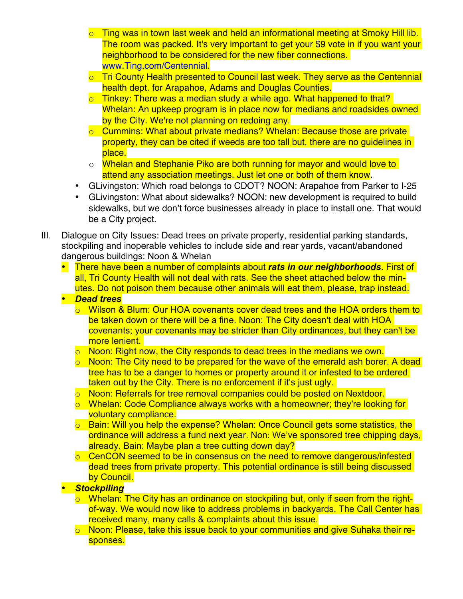- Ting was in town last week and held an informational meeting at Smoky Hill lib. The room was packed. It's very important to get your \$9 vote in if you want your neighborhood to be considered for the new fiber connections. www.Ting.com/Centennial.
- o Tri County Health presented to Council last week. They serve as the Centennial health dept. for Arapahoe, Adams and Douglas Counties.
- $\circ$  Tinkey: There was a median study a while ago. What happened to that? Whelan: An upkeep program is in place now for medians and roadsides owned by the City. We're not planning on redoing any.
- o Cummins: What about private medians? Whelan: Because those are private property, they can be cited if weeds are too tall but, there are no guidelines in place.
- o Whelan and Stephanie Piko are both running for mayor and would love to attend any association meetings. Just let one or both of them know.
- GLivingston: Which road belongs to CDOT? NOON: Arapahoe from Parker to I-25
- GLivingston: What about sidewalks? NOON: new development is required to build sidewalks, but we don't force businesses already in place to install one. That would be a City project.
- III. Dialogue on City Issues: Dead trees on private property, residential parking standards, stockpiling and inoperable vehicles to include side and rear yards, vacant/abandoned dangerous buildings: Noon & Whelan
	- There have been a number of complaints about *rats in our neighborhoods*. First of all, Tri County Health will not deal with rats. See the sheet attached below the minutes. Do not poison them because other animals will eat them, please, trap instead.
	- *Dead trees*
		- o Wilson & Blum: Our HOA covenants cover dead trees and the HOA orders them to be taken down or there will be a fine. Noon: The City doesn't deal with HOA covenants; your covenants may be stricter than City ordinances, but they can't be more lenient.
		- o Noon: Right now, the City responds to dead trees in the medians we own.
		- $\circ$  Noon: The City need to be prepared for the wave of the emerald ash borer. A dead tree has to be a danger to homes or property around it or infested to be ordered taken out by the City. There is no enforcement if it's just ugly.
		- o Noon: Referrals for tree removal companies could be posted on Nextdoor.
		- o Whelan: Code Compliance always works with a homeowner; they're looking for voluntary compliance.
		- o Bain: Will you help the expense? Whelan: Once Council gets some statistics, the ordinance will address a fund next year. Non: We've sponsored tree chipping days, already. Bain: Maybe plan a tree cutting down day?
		- $\circ$  CenCON seemed to be in consensus on the need to remove dangerous/infested dead trees from private property. This potential ordinance is still being discussed by Council.

## • *Stockpiling*

- o Whelan: The City has an ordinance on stockpiling but, only if seen from the rightof-way. We would now like to address problems in backyards. The Call Center has received many, many calls & complaints about this issue.
- o Noon: Please, take this issue back to your communities and give Suhaka their responses.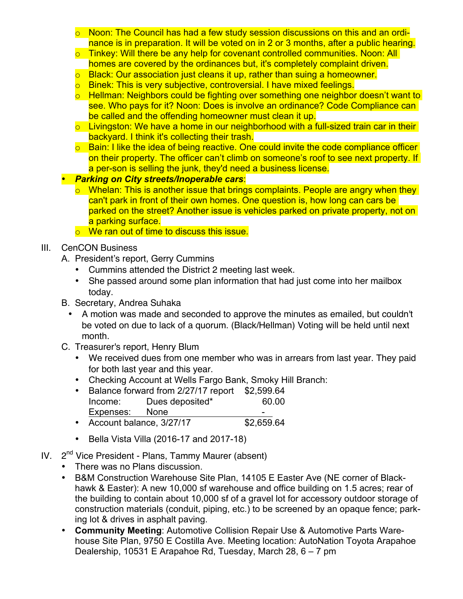- $\circ$  Noon: The Council has had a few study session discussions on this and an ordinance is in preparation. It will be voted on in 2 or 3 months, after a public hearing.
- o Tinkey: Will there be any help for covenant controlled communities. Noon: All homes are covered by the ordinances but, it's completely complaint driven.
- o Black: Our association just cleans it up, rather than suing a homeowner.
- o Binek: This is very subjective, controversial. I have mixed feelings.
- o Hellman: Neighbors could be fighting over something one neighbor doesn't want to see. Who pays for it? Noon: Does is involve an ordinance? Code Compliance can be called and the offending homeowner must clean it up.
- $\circ$  Livingston: We have a home in our neighborhood with a full-sized train car in their backyard. I think it's collecting their trash.
- o Bain: I like the idea of being reactive. One could invite the code compliance officer on their property. The officer can't climb on someone's roof to see next property. If a per-son is selling the junk, they'd need a business license.
- *Parking on City streets/Inoperable cars*:
	- $\circ$  Whelan: This is another issue that brings complaints. People are angry when they can't park in front of their own homes. One question is, how long can cars be parked on the street? Another issue is vehicles parked on private property, not on a parking surface.
	- o We ran out of time to discuss this issue.

## III. CenCON Business

- A. President's report, Gerry Cummins
	- Cummins attended the District 2 meeting last week.
	- She passed around some plan information that had just come into her mailbox today.
- B. Secretary, Andrea Suhaka
	- A motion was made and seconded to approve the minutes as emailed, but couldn't be voted on due to lack of a quorum. (Black/Hellman) Voting will be held until next month.
- C. Treasurer's report, Henry Blum
	- We received dues from one member who was in arrears from last year. They paid for both last year and this year.
	- Checking Account at Wells Fargo Bank, Smoky Hill Branch:
	- Balance forward from 2/27/17 report \$2,599.64 Income: Dues deposited\* 60.00 Expenses: None -
	- Account balance, 3/27/17 \$2,659.64
	- Bella Vista Villa (2016-17 and 2017-18)
- IV.  $2^{nd}$  Vice President Plans, Tammy Maurer (absent)
	- There was no Plans discussion.
	- B&M Construction Warehouse Site Plan, 14105 E Easter Ave (NE corner of Blackhawk & Easter): A new 10,000 sf warehouse and office building on 1.5 acres; rear of the building to contain about 10,000 sf of a gravel lot for accessory outdoor storage of construction materials (conduit, piping, etc.) to be screened by an opaque fence; parking lot & drives in asphalt paving.
	- **Community Meeting**: Automotive Collision Repair Use & Automotive Parts Warehouse Site Plan, 9750 E Costilla Ave. Meeting location: AutoNation Toyota Arapahoe Dealership, 10531 E Arapahoe Rd, Tuesday, March 28, 6 – 7 pm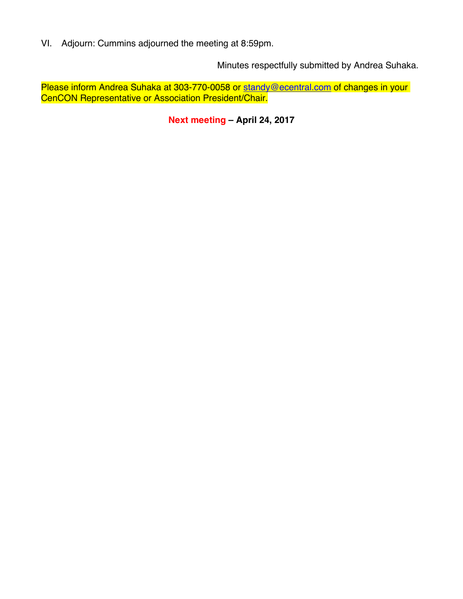VI. Adjourn: Cummins adjourned the meeting at 8:59pm.

Minutes respectfully submitted by Andrea Suhaka.

Please inform Andrea Suhaka at 303-770-0058 or standy@ecentral.com of changes in your CenCON Representative or Association President/Chair.

**Next meeting – April 24, 2017**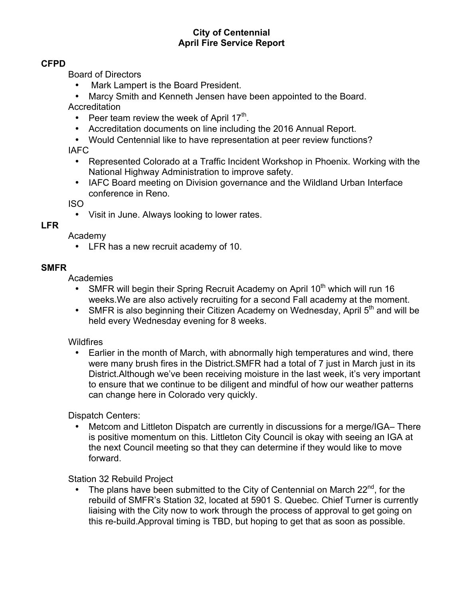### **City of Centennial April Fire Service Report**

### **CFPD**

Board of Directors

- Mark Lampert is the Board President.
- Marcy Smith and Kenneth Jensen have been appointed to the Board.

**Accreditation** 

- Peer team review the week of April  $17<sup>th</sup>$ .
- Accreditation documents on line including the 2016 Annual Report.
- Would Centennial like to have representation at peer review functions?

IAFC

- Represented Colorado at a Traffic Incident Workshop in Phoenix. Working with the National Highway Administration to improve safety.
- IAFC Board meeting on Division governance and the Wildland Urban Interface conference in Reno.

ISO

• Visit in June. Always looking to lower rates.

#### **LFR**

Academy

• LFR has a new recruit academy of 10.

## **SMFR**

Academies

- SMFR will begin their Spring Recruit Academy on April  $10<sup>th</sup>$  which will run 16 weeks.We are also actively recruiting for a second Fall academy at the moment.
- SMFR is also beginning their Citizen Academy on Wednesday, April  $5<sup>th</sup>$  and will be held every Wednesday evening for 8 weeks.

## **Wildfires**

• Earlier in the month of March, with abnormally high temperatures and wind, there were many brush fires in the District.SMFR had a total of 7 just in March just in its District. Although we've been receiving moisture in the last week, it's very important to ensure that we continue to be diligent and mindful of how our weather patterns can change here in Colorado very quickly.

Dispatch Centers:

• Metcom and Littleton Dispatch are currently in discussions for a merge/IGA–There is positive momentum on this. Littleton City Council is okay with seeing an IGA at the next Council meeting so that they can determine if they would like to move forward.

Station 32 Rebuild Project

• The plans have been submitted to the City of Centennial on March  $22^{nd}$ , for the rebuild of SMFR's Station 32, located at 5901 S. Quebec. Chief Turner is currently liaising with the City now to work through the process of approval to get going on this re-build.Approval timing is TBD, but hoping to get that as soon as possible.